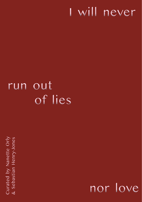#### will never I

#### **Out** run of lies

Curated by Nanette Orly & Sebastian Henry-Jones

nor love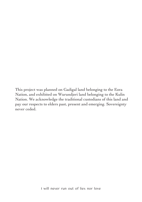This project was planned on Gadigal land belonging to the Eora Nation, and exhibited on Wurundjeri land belonging to the Kulin Nation. We acknowledge the traditional custodians of this land and pay our respects to elders past, present and emerging. Sovereignty never ceded.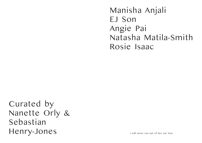Manisha Anjali EJ Son Angie Pai Natasha Matila-Smith Rosie Isaac

Curated by Nanette Orly & Sebastian Henry-Jones

I will never run out of lies nor love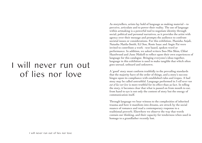# I will never run out of lies nor love

As storytellers, artists lay hold of language as making material – to perceive, articulate and to power their reality. The use of language within artmaking is a powerful tool to negotiate identity through social, political and personal narratives, as it provides the artist with agency over their message and prompts the audience to confront societal issues or considerations. For this exhibition, Manisha Anjali, Natasha Matila-Smith, EJ Son, Rosie Isaac and Angie Pai were invited to contribute a work - text based, spoken word or performance. In addition, we asked writers Soo-Min Shim, Chloé Hazelwood and June Miskell to reflect upon their own experiences of language for this catalogue. Bringing everyone's ideas together, language in this exhibition is used to make tangible that which often goes unread, unheard and unknown.

A 'good' story must conform truthfully to the prevailing standards that the majority have of the order of things, and a story's success hinges upon its compliance with established rules and tropes. A bad story may be called untruthful. Language performed in *I will never run out of lies nor love* is more truthful for its effect than as fact. In telling the story, it becomes clear that what is passed on from mouth to ear, from hand to eye is not only the content of story but the energy of communication itself.

Through language we bear witness to the complexities of inherited trauma and how it manifests into dreams, are struck by the social nuance of romance and read a contemporary response to a traditional proverb. Elsewhere we observe the way that words contain our thinking, and their capacity for tenderness when used in homage to a grandfather recently lost.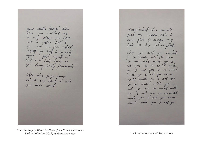your wilk furned blue when you watched me in my sleep your hair you had no face I fold myself in half & in half again I fold myself in half & in half again on your lovely lovely flowboards little plue frogs jump out of my heart & into

Manisha Anjali, *Māra Blue Demon from Neela Gala Purana: Book of Visitations*, 2019, handwritten notes. I will never run out of lies nor love

disembodied blue hands feed me moon lolo & um fish & magic my hair in two french platter when you died you wanted to go back into the love so we could mith you & eat you so we could mille you & eat you so we could milk you & eat you so we could milk you a eat you so we could with you & ent you so we would milk you & est you so we could mille you & eat you sove could mille you & cat you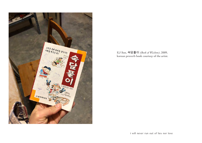

EJ Son, 속담풀이 *(Book of Wisdom)*, 2009, korean proverb book courtesy of the artist.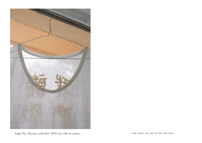

Angie Pai, *Ah gong's undershirt*, 2019, raw silk on cotton. I will never run out of lies nor love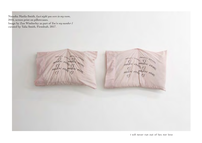Natasha Matila-Smith, *Last night you were in my room*, 2016, screen print on pillowcases. Image by Zan Wimberley as part of *You're my number 1* curated by Talia Smith, Firstdraft, 2017.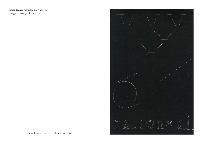Rosie Isaac, *Rational Trap*, 2019. Image courtesy of the artist.



I will never run out of lies nor love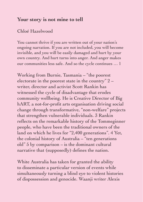#### **Your story is not mine to tell**

#### Chloé Hazelwood

You cannot thrive if you are written out of your nation's ongoing narration. If you are not included, you will become invisible, and you will be easily damaged and hurt by your own country. And hurt turns into anger. And anger makes our communities less safe. And so the cycle continues … 1

Working from Burnie, Tasmania – "the poorest electorate in the poorest state in the country" 2 – writer, director and activist Scott Rankin has witnessed the cycle of disadvantage that erodes community wellbeing. He is Creative Director of Big hART, a not-for-profit arts organisation driving social change through transformative, "non-welfare" projects that strengthen vulnerable individuals. 3 Rankin reflects on the remarkable history of the Tommeginner people, who have been the traditional owners of the land on which he lives for "2,400 generations". 4 Yet, the colonial history of Australia – "ten generations old" 5 by comparison – is the dominant cultural narrative that (supposedly) defines the nation.

White Australia has taken for granted the ability to disseminate a particular version of events while simultaneously turning a blind eye to violent histories of dispossession and genocide. Waanji writer Alexis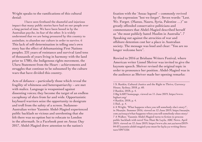Wright speaks to the ramifications of this cultural denial:

I have seen firsthand the shameful and injurious impact that many public stories have had on our people over a long period of time. We have been boxed in by the Australian psyche, its fear of the other. It is widely understood that we are being pressured by this country to assimilate, to abandon our culture in order to survive. 6 This lack of self-determination in telling one's own story has the effect of dehumanising First Nations peoples. 231 years of resistance and survival (and tens of thousands of years living in harmony with the land prior to 1788), the Indigenous rights movement, the Uluru Statement from the Heart – achievements and struggles that continue to be subsumed by the culture wars that have divided this country.

Acts of defiance – particularly those which reveal the fragility of whiteness and heteropatriarchy – are met with malice. Language is weaponised against dissenting voices; they become the target of an endless cacophony of slurs from far and wide. Opportunistic keyboard warriors seize the opportunity to denigrate and troll from the safety of a screen. Sudanese-Australian writer Yassmin Abdel-Magied experienced public backlash so vicious and unrelenting that she felt there was no option but to relocate to London in the aftermath. In a Facebook post on Anzac Day 2017, Abdel-Magied drew attention to the nation's

fixation with the 'Anzac legend' – commonly revived by the expression "lest we forget". Seven words: "Lest. We. Forget. (Manus, Nauru, Syria, Palestine …)" so greatly offended conservative politicians and commentators that Abdel-Magied described herself as "the most publicly hated Muslim in Australia". 7 Speaking out against the atrocities of war and offshore detention cost her a place in Australian society. The message was loud and clear: "You are no longer welcome here".

Rewind to 2016 at Brisbane Writers Festival, where American writer Lionel Shriver was invited to give the keynote speech. Shriver revised the original topic in order to pronounce her position. Abdel-Magied was in the audience as Shriver made her opening remarks:

<sup>1</sup> S. Rankin, Cultural Justice and the Right to Thrive, Currency House, Sydney, 2018, p. 60. 2 Rankin, 2018, p. 4. 3 Big hART homepage, viewed on 11 June 2019, https://www. bighart.org/ 4 Rankin, 2018, p. 4. 5 Ibid., p. 4. 6 A Wright, 'What happens when you tell somebody else's story?', in Meanjin. Summer 2016, viewed on 12 June 2019, https://meanjin. com.au/essays/what-happens-when-you-tell-somebody-elses-story/ 7 A Walker, 'Yassmin Abdel-Magied turns to fiction to process public backlash with novel You Must Be Layla, ABC News. April 2019, viewed on 12 June 2019, https://www.abc.net.au/news/2019- 04-07/yassmin-abdel-magied-you-must-be-layla-ya-writing-literature/10971226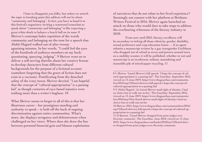I hate to disappoint you folks, but unless we stretch the topic to breaking point this address will not be about "community and belonging". In fact, you have to hand it to this festival's organisers: inviting a renowned iconoclast to speak about "community and belonging" is like expecting a great white shark to balance a beach ball on its nose. 8 Shriver's contempt-laden repetition of the words community and belonging set the tone for a speech that Abdel-Magied walked out of after twenty agonising minutes. In her words, "I could feel the eyes of the hundreds of audience members on my back: questioning, querying, judging". 9 Shriver went on to deliver a self-serving diatribe about her creative license to develop characters from different cultural backgrounds for the purpose of a fictional account (somehow forgetting that the genre of fiction does not exist in a vacuum). Pontificating from the detached safety of the ivory tower, Shriver decried, "I am hopeful that the concept of "cultural appropriation" is a passing fad" as though centuries of race-based injustice were nothing more than a writer's bugbear. 10

What Shriver seems to forget in all of this is that her illustrious career – her prestigious standing and authority to speak – is built off the back of ongoing discrimination against entire communities. What's more, she displays arrogance and defensiveness when challenged on her views. Where does she draw the line between personal financial gain and blatant exploitation of narratives that do not relate to her lived experience? Seemingly not content with her platform at Brisbane Writers Festival in 2016, Shriver again launched an attack on those who would dare to take steps to address the overbearing whiteness of the literary industry in 2018:

From now until 2025, literary excellence will be secondary to ticking all those ethnicity, gender, disability, sexual preference and crap-education boxes … if an agent submits a manuscript written by a gay transgender Caribbean who dropped out of school at seven and powers around town on a mobility scooter, it will be published, whether or not said manuscript is an incoherent, tedious, meandering and insensible pile of mixed-paper recycling. 11

8 L Shriver, 'Lionel Shriver's full speech: 'I hope the concept of cultural appropriation is a passing fad'', The Guardian. September 2016, viewed on 13 June 2019, https://www.theguardian.com/commentisfree/2016/sep/13/lionel-shrivers-full-speech-i-hope-the-concept-ofcultural-appropriation-is-a-passing-fad

<sup>9</sup> Y Abdel-Magied, 'As Lionel Shriver made light of identity, I had no choice but to walk out on her', The Guardian. September 2016, viewed on 13 June 2019, https://www.theguardian.com/commentisfree/2016/sep/10/as-lionel-shriver-made-light-of-identity-i-had-nochoice-but-to-walk-out-on-her

<sup>10</sup> Shriver, 2016, https://www.theguardian.com/commentisfree/2016/ sep/13/lionel-shrivers-full-speech-i-hope-the-concept-of-cultural-appropriation-is-a-passing-fad

<sup>11</sup> D Barnett, 'Lionel Shriver dropped from prize judges over diversity comments', The Guardian. June 2018, viewed on 13 June 2019, https://www.theguardian.com/books/2018/jun/12/lionel-shriver-dropped-from-prize-judges-over-diversity-comments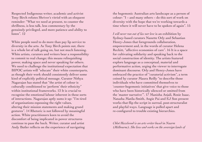Respected Indigenous writer, academic and activist Tony Birch refutes Shriver's vitriol with an eloquent reminder: "What we need at present, to counter the shrillness, is less talk, less commentary by the genuinely privileged, and more patience and ability to listen". 12

White people need to do more than pay lip service to diversity in the arts. As Tony Birch points out, there is a whole lot of talk going on, but not much listening. White artists, curators and writers bear a responsibility to commit to real change; this means relinquishing power, making space and never speaking for others. We need to challenge the institutional expectation that BIPOC artists will "educate" their white counterparts, as though their work should consistently deliver some kind of explicitly political message. Curator Nithya Nagarajan has stated that "the artist of colour is culturally conditioned to 'perform' their ethnicity" within institutional frameworks. 13 It is crucial to recognise the emotional labour inherent in these sorts of interactions. Nagarajan aptly sums it up: "I'm tired of organisations espousing the right values, altering their mission statements and making grand gestures". 14 Rhetoric is not followed by meaningful action. White practitioners keen to avoid the discomfort of being implicated in power structures continue to pass the buck. Writer, curator and artist Andy Butler reflects on the experience of navigating

the hegemonic Australian arts landscape as a person of colour: "I – and many others – do this sort of work on diversity with the hope that we're working towards a time where it will never have to be spoken of again". 15

*I will never run out of lies nor love* is an exhibition by Sydney-based curators Nanette Orly and Sebastian Henry-Jones that foregrounds collaboration, empowerment and, in the words of curator Helena Reckitt, "affective economies of care". 16 It is a space for cultivating solidarity and speaking back to the social construction of identity. The artists featured explore language as a conceptual, material and performative action, urging the viewer to interrogate dominant discourse. Orly and Henry-Jones have embraced the practice of "curatorial activism", a term coined by curator Maura Reilly "to describe those individuals who have committed themselves to 'counter-hegemonic initiatives' that give voice to those who have been historically silenced or omitted from the 'master narrative'". 17 Manisha Anjali, Rosie Isaac, Natasha Matila-Smith, Angie Pai and EJ Son present works that flip the script in surreal, post-structuralist and playful ways. Language is pulled apart and re-configured to trouble existing hierarchies.

*Chloé Hazelwood is an arts writer based in Naarm (Melbourne). She lives and works on the sovereign lands of*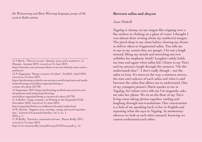*the Woiwurrung and Boon Wurrung language groups of the eastern Kulin nation.*

12 T Birch, ''There is no axe': identity, story and a sombrero', in Meanjin. Autumn 2019, viewed on 14 June 2019,

https://meanjin.com.au/essays/there-is-no-axe-identity-story-and-asombrero/

13 N Nagarajan, 'Being a curator of colour', ArtsHub. April 2019, viewed on 14 June 2019,

https://performing.artshub.com.au/news-article/opinions-and-analysis/performing-arts/nithya-nagarajan/being-a-

curator-of-colour-257730

14 Nagarajan, 2019, https://performing.artshub.com.au/news-article/opinions-and-analysis/performing-

arts/nithya-nagarajan/being-a-curator-of-colour-257730

15 A Butler, 'A gig economy', in Writing in the Expanded Field. November 2018, viewed on 15 June 2019,

http://expanded-field.acca.melbourne/b-andy-butler.html

16 H. Reckitt, 'Support acts: curating, caring and social reproduction'. Journal of Curatorial Studies, vol. 5, no. 1,

2016, p. 7.

17 M Reilly, 'Toward a curatorial activism', Maura Reilly. 2011, viewed on 16 June 2019,

http://www.maurareilly.com/pdf/essays/CIAFessay.pdf, p. 15.

#### **Between salita and aksyon**

#### June Miskell

Tagalog is clumsy on my tongue like tripping over a flat surface or choking on a glass of water. I thought I was almost done writing about my mother(s)-tongue. The pinch deep in my chest before clearing my throat to deliver silent or fragmented salita. Tita tells me to say to my cousin they are pangit. I let out a laugh instead, lifting my mouth and stretching out two syllables for emphasis: hindi! Laughter safely holds me time and again when salita fail. I listen to my Tita's and my pinsan's laugh through the sentence "Oo she understands ilan!". I don't really though – not the salita at least. It's more-so the way a sentence moves, the tone and cadence of each salita and what is said between the salita that allows me to understand. One of my youngest pinsan's Marie speaks to me in Tagalog, her infant voice tells me I'm maganda, asks me take her photo. We sit on the floor of my Tita's living room taking photos together, smiling and laughing through mis-translations. Our conversation is a halo of me speaking back to her in English and repeating what she says in Tagalog. In momentary silences we look at each other amused, knowing we cannot understand each other.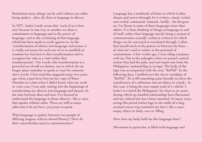Sometimes many things can be said without any salita being spoken - after all, there is language in silence.

In 1977, Audre Lorde wrote that "each of us is here now because in one way or another we share a commitment to language and to the power of language, and to the reclaiming of that language which has been made to work against us. In the transformation of silence into language and action, it is vitally necessary for each one of us to establish or examine her function in that transformation and to recognize her role as a vital within that transformation". For Lorde, this transformation is a powerful act of self-revelation, one in which she no longer plans someday to speak or wait for someone else's words. I first read this maganda essay two years ago when a past lover lent me her copy of Sister Outsider at a time when I didn't know what my work or voice was. I was only coming into the beginnings of transforming my silences into language and aksyon. In the time between then and now, I've learned to understand the language in those silences - like a voice that speaks without salita. There are still so many salita that I do not have, yet yearn to speak.

What language is spoken between two people of differing tongues with no shared fluency? How do their voices/bodies meet in communication?

Language has a multitude of forms in which it takes shapes and moves through; be it written, visual, verbal, non-verbal, communal, romantic, bodily - the list goes on. I'm fluent in some of these languages more than others. I've been thinking of things as language in and of itself, rather than language merely being a system of communication (usually verbal or written) for which things can be conveyed or translated through. I often find myself stuck in the poetics in between the lines – of what isn't said or rather, in the potential of connotations. A few weeks ago, I was riding a jeepney with my Tita to the palengke when we passed a petrol station that had the pula, asul and major star from the Philippines' national flag as its logo. The body of the logo was accompanied with the text: "RePhil". In the following days, I mulled over the clever wordplay of "RePhil". To re-fill something quite literally involves the transference of a substance into an object or a body - in this case, it being the near-empty tank of a vehicle. I hadn't re-visited the Philippines' for close to six years, during which my familial relationships have fluctuated and my cultural ties have been unsettled. In many ways, seeing this petrol station logo in the midst of a long awaited return trip reminded me that I, like a nearempty object or body, was re- filling.

How does my body hold me like language does?

Movement in particular, is filled with language and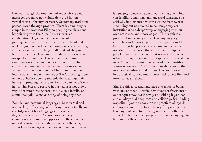learned through observation and repertoire. Some messages are more powerfully delivered in nonverbal forms – through gestures. Customary traditions passed down through practice. There is something so simple in the way that Filipino people give directions by pointing with their lips. It is a measured combination of eye contact, variations of lip pursing combined with specific eyebrow, head and neck aksyon. When I ask my Nanay where something is, she doesn't say anything at all. Instead she purses her lips, turns her head and extends her neck to give me quicker directions. The simplicity of these sentiments is shared in mano or pagmamano, the customary blessing to show respect for one's elder. When I visit my family in the Philippines, the first interactions I have with my elder Tito's is asking them mano po, before bowing towards them, taking their hand and pressing my forehead on the outside of their hand. This blessing gesture in particular is not only a way of communicating respect but also a familial and communal pakikisama as a way of being together.

Familial and communal languages (both verbal and non-verbal) offer a way of thinking more critically and carefully about how languages are used and who/what they are in service to. Whose voice is being championed and in turn, oppressed in the choice of one salita usage over another? I've been thinking about how to engage with concepts based in my own

languages, however fragmented they may be. How can familial, communal and ancestral languages be critically implemented within existing frameworks (including but not limited to contemporary art institutions) as a deeper way of engaging with our own aesthetics and knowledges? This requires a process of unlearning and re-learning languages, aesthetics and knowledge. For my kapatids and I, kapwa is both a practice and a language of being together. It's the core ethic and value of Filipinx peoples, with the inner self that is shared between others. Though in many ways kapwa is untranslatable into English and cannot be reduced to a digestible Western concept of "us", it consciously refers to the interconnectedness of all things. It is not theoretical but practical, carried out in unity with others first and foremost as an aksyon.

Sharing this ancestral language and mode of being with one another, (despite how fluent or fragmented our tongues may be) is a way of building bayanihan and an aksyon of deep care and solidarity. Still finding my salita, I yearn to care for the practices of myself and my communities. In nurturing this process, I'm learning that sometimes being with one another is to sit in the silences of language - for there is language to be found in those silences too.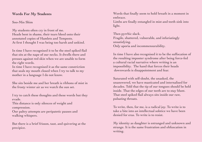#### **Words For My Students**

Soo-Min Shim

My students often cry in front of me. Heads bent in shame, their tears bleed onto their annotated copies of Hamlets and Tempests. At first I thought I was being too harsh and unkind.

In time I have recognised it to be the steel spiked flail that sits at the nape of our necks. It dwells there and presses against red skin when we are unable to form the right words.

In time I have recognised it as the same constriction that seals my mouth closed when I try to talk to my mother in a language I do not know.

She sits beside me and her breath is ribbons of mist in the frosty winter air as we watch the sun set.

I try to catch these thoughts and these words but they evade.

This distance is only silences of weight and compression.

Our paltry attempts are peripatetic pauses and walking whispers.

But there is a brief frisson, taut, and quivering at the precipice.

Words that finally seem to hold breath in a moment in embrace.

Limbs are finally entangled in mist and teeth sink into light.

Then pyrrhic slack. Fragile, shattered, vulnerable, and infuriatingly unsatisfying. Only aporia and incommensurability.

In time I have also recognised it to be the suffocation of the resulting imposter syndrome after being force-fed a cultural racial narrative where writing is an impossibility. The hand that forces their heads downwards is disappointment and fear.

Saturated with self-doubt, the unasked, the unanswered, we have masticated and internalised for decades. Told that the tip of our tongues should be held inside. That the edges of our teeth are to stay blunt. That steel spiked flail always sits inside our raw, pulsating throats.

To write, then, for me, is a radical joy. To write is to take a bite into an intellectual solstice we have been denied for eras. To write is to resist.

My identity as daughter is estranged and unknown and strange. It is the same frustration and obfuscation in writing.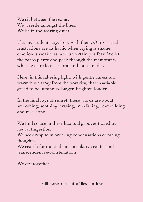We sit between the seams. We wrestle amongst the lines. We lie in the soaring quiet.

I let my students cry. I cry with them. Our visceral frustrations are cathartic when crying is shame, emotion is weakness, and uncertainty is fear. We let the barbs pierce and peek through the membrane, where we are less cerebral and more tender.

Here, in this faltering light, with gentle caress and warmth we stray from the voracity, that insatiable greed to be luminous, bigger, brighter, louder.

In the final rays of sunset, these words are about smoothing, soothing, erasing, free-falling, re-moulding and re-casting.

We find solace in these habitual grooves traced by neural fingertips.

We seek respite in ordering condensations of racing thoughts.

We search for quietude in speculative routes and transcendent re-constellations.

We cry together.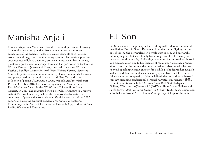# Manisha Anjali

Manisha Anjali is a Melbourne-based writer and performer. Drawing from oral storytelling practices from women mystics, saints and courtesans of the ancient world, she brings elements of mysticism, eroticism and magic into contemporary spaces. Her creative practice encompasses religious devotion, eroticism, mysticism, dream theory, plantation poetry and folk songs. Manisha has performed at Melbourne Writers Festival, Queensland Poetry Festival, Emerging Writers Festival, Bendigo Writers Festival, West Writers Forum, Newstead Short Story Tattoo and a number of art galleries, community festivals and poetry readings around Australia and New Zealand. Her first collection of poems, *Sugar Kane Woman*, was released by Witchcraft Press in October 2016. Her short story *Goldie the Turtle* won the People's Choice Award in the NZ Writers College Short Story Contest. In 2017, she graduated with First Class Honours in Creative Arts at Victoria University, where she composed a dramatic text comprised of poetry, theatre and song. Manisha was part of the 2017 cohort of Emerging Cultural Leaders programme at Footscray Community Arts Centre. She is also the Events & Opps Editor at Asia Pacific Writers and Translators.

### EJ Son

EJ Son is a interdisciplinary artist working with video, ceramics and installation. Born in South Korean and immigrated to Sydney at the age of seven. She's struggled for a while with racism and patriarchy interrupting her, but she's finally had enough and lost her sanity, or perhaps found her sanity. Reflecting back upon her internalised hatred and disassociation due to her feelings of racial inferiority, her practice aims to reclaim the culture she once denied and abandoned. She used to avoid speaking Korean entirely for a while as she feared her English skills would deteriorate if she constantly spoke Korean. She comes full circle to the complexity of the racialised identity and heals herself through stamping confessional personal narratives in Hangul (한글). Recent exhibitions include *The normal show* (2017) at Dedspace Gallery, *This is not a self portrait 2.0* (2017) at Short Space Gallery and *In the Survey* (2015) at Verge Gallery in Sydney. In 2018, she completed a Bachelor of Visual Arts (Honours) at Sydney College of the Arts.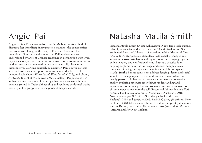# Angie Pai

Angie Pai is a Taiwanese artist based in Melbourne. As a child of diaspora, her interdisciplinary practice examines the compromises that come with living on the cusp of East and West, and the potentials of interpersonal connection. Pai's endeavours are underpinned by ancient Chinese teachings in conjunction with lived experience of spiritual disconnection - voiced on a continuum that is neither linear nor attenuated but rather ancestrally circular and introspective. Working centrally as a painter, Pai's oeuvre distorts strict art historical conceptions of movement and school. In her inaugural solo shows *Silence Doesn't Work For Me* (2016), and *Gravity of Thought* (2017) at Melbourne's Metro Gallery, Pai positions her audience towards a suite of paintings that depict ancient Chinese maxims ground in Taoist philosophy; and rendered sculptural works that depict her grapples with the perils of diasporic guilt.

# Natasha Matila-Smith

Natasha Matila-Smith (Ngāti Kahungunu, Ngāti Hine, Sale'aumua, Pākehā) is an artist and writer based in Tāmaki Makaurau. She graduated from the University of Auckland with a Master of Fine Arts in 2014. Her practice often deals with social exchanges and anxieties, across installation and digital contexts. Bringing together online imagery and confessional text, Natasha's practice is an ongoing exploration of the language and social complexities of romance. Filtering through social media and exhibition spaces, Matila-Smith's honest admissions address longing, desire and social anxieties from a perspective that is at times as universal as it is deeply personal. In her work, there is an intimate and obsessive quality exploring amongst other things, understanding and expectations of intimacy, lust and romance, and societies assertion of these expectations onto the self. Recent exhibitions include *Hard Feelings,* The Honeymoon Suite (Melbourne, Australia), 2018; *Between me and you*, ST PAUL St Gallery (Auckland, New Zealand), 2018 and *Sleight of Hand*, RAMP Gallery (Hamilton, New Zealand), 2018. She has contributed to online and print publications such as Runway Australian Experimental Art (Australia), Matters Aotearoa and Art New Zealand.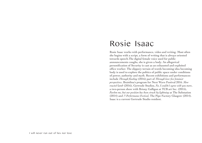### Rosie Isaac

Rosie Isaac works with performance, video and writing. Most often she begins with a script, a form of writing that is always oriented towards speech.The digital female voice used for public announcements coughs, she is given a body. An allegorical personification of Security is cast as an exhausted and exploited office worker. The slippery terrain of words becoming idea becoming body is used to explore the politics of public space under conditions of power, authority and myth. Recent exhibitions and performances include *Through flooding* (2016) part of *Through love: five feminist perspectives*, Brainlina's program for Next Wave Festival 2016. *Slow roasted lamb* (2016), Gertrude Studios, *No, I couldn't agree with you more*, a two-person show with Briony Galligan at TCB art Inc. (2015), *Pardon me, but our position has been struck by lightning* at The Substation (2014) and *?! Performance Festival*, The Pipe Factory Glasgow (2014). Isaac is a current Gertrude Studio resident.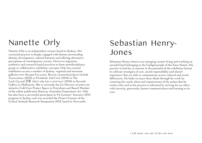# Nanette Orly

Nanette Orly is an independent curator based in Sydney. Her curatorial practice is deeply engaged with themes surrounding identity development, cultural histories and offering alternative perceptions of contemporary society. Drawn to migratory aesthetics and research-based practices to form interdisciplinary group or collaborative exhibition concepts, Orly has curated exhibitions across a number of Sydney, regional and interstate galleries over the past five years. Recent curatorial projects include *Transcendence* (2018) at Firstdraft, *Full Circle* (2018) at The Lock-Up and 긴장 *(that's why I get so tired now)* (2018) at Seventh Gallery in Melbourne. She is currently the Co-Director of artist run initiative Cold Cuts Project Space in Petersham and Board Member of the online publication Runway Australian Experiment Art. Orly has also been a successful participant in 4A Curators' Intensive 2018 program in Sydney and was awarded the Project Curator of the Critical Animals Research Symposium 2018, based in Newcastle.

## Sebastian Henry-Jones

Sebastian Henry-Jones is an emerging curator living and working on unceded land belonging to the Gadigal people of the Eora Nation. His practice is lead by an interest in the potential of the exhibition format to cultivate strategies of care, social responsibility and shared experience that are able to communicate across cultural and social differences. He looks to enact these ideals through his work by centering the needs, ideas and requirements of the artists that he works with, and so his practice is informed by striving for an ethics with sincerity, generosity, honest communication and learning at its core.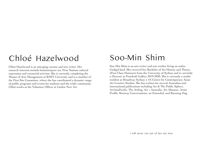## Chloé Hazelwood

Chloé Hazelwood is an emerging curator and arts writer. Her research interests include feminist/queer art, First Nations cultural expression and curatorial activism. She is currently completing the Master of Arts Management at RMIT University and is a member of the First Site Committee, where she has coordinated a dynamic range of public programs and events for students and the wider community. Chloé works as the Volunteer Officer at Linden New Art.

### Soo-Min Shim

Soo-Min Shim is an arts writer and arts worker living on stolen Gadigal land. She received her Bachelor of Art History and Theory (First Class Honours) from the University of Sydney and is currently a Director at Firstdraft Gallery 2019-2020. She is currently a studio resident at Broadway Sydney x 4A Centre for Contemporary Asian Art Creative Studios. She has written for several Australian and international publications including Art & The Public Sphere, ArtAsiaPacific, The Artling, Art + Australia, Art Almanac, Artist Profile, Runway Conversations, un Extended, and Running Dog.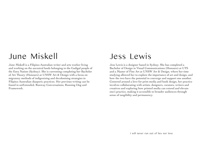### June Miskell

June Miskell is a Filipino-Australian writer and arts worker living and working on the ancestral lands belonging to the Gadigal people of the Eora Nation (Sydney). She is currenting completing her Bachelor of Art Theory (Honours) at UNSW Art & Design with a focus on migratory methods of indigenizing and decolonising strategies in Filipinx-Australian diasporic practices. Her previous writing can be found in unExtended, Runway Conversations, Running Dog and Framework.

### Jess Lewis

Jess Lewis is a designer based in Sydney. She has completed a Bachelor of Design in Visual Communications (Honours) at UTS and a Master of Fine Art at UNSW Art & Design, where her time studying allowed her to explore the importance of art and design, and how the two have the potential to converge and support one another. Centered around a love for print media and book design, her practice involves collaborating with artists, designers, curators, writers and creatives and exploring how printed media can extend and elevate one's practice, making it accessible to broader audiences through sense of tangibility and permanency.